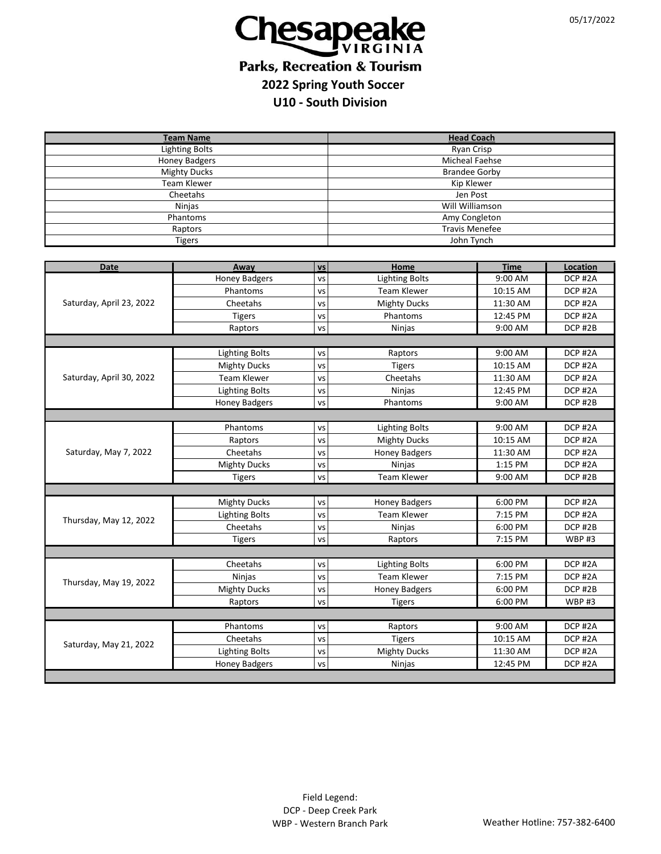

## **Parks, Recreation & Tourism 2022 Spring Youth Soccer U10 - South Division**

| <b>Team Name</b>         |                       |           | <b>Head Coach</b>                  |             |              |  |  |  |
|--------------------------|-----------------------|-----------|------------------------------------|-------------|--------------|--|--|--|
| <b>Lighting Bolts</b>    |                       |           | <b>Ryan Crisp</b>                  |             |              |  |  |  |
| <b>Honey Badgers</b>     |                       |           | <b>Micheal Faehse</b>              |             |              |  |  |  |
| <b>Mighty Ducks</b>      |                       |           | <b>Brandee Gorby</b>               |             |              |  |  |  |
| <b>Team Klewer</b>       |                       |           | Kip Klewer                         |             |              |  |  |  |
| Cheetahs                 |                       |           | Jen Post<br><b>Will Williamson</b> |             |              |  |  |  |
| Ninjas                   |                       |           | Amy Congleton                      |             |              |  |  |  |
| Phantoms<br>Raptors      |                       |           | <b>Travis Menefee</b>              |             |              |  |  |  |
| <b>Tigers</b>            |                       |           | John Tynch                         |             |              |  |  |  |
|                          |                       |           |                                    |             |              |  |  |  |
| <b>Date</b>              | Away                  | <b>VS</b> | Home                               | <b>Time</b> | Location     |  |  |  |
|                          | <b>Honey Badgers</b>  | <b>VS</b> | <b>Lighting Bolts</b>              | 9:00 AM     | DCP #2A      |  |  |  |
| Saturday, April 23, 2022 | Phantoms              | vs        | <b>Team Klewer</b>                 | 10:15 AM    | DCP #2A      |  |  |  |
|                          | Cheetahs              | VS        | <b>Mighty Ducks</b>                | 11:30 AM    | DCP #2A      |  |  |  |
|                          | <b>Tigers</b>         | vs        | Phantoms                           | 12:45 PM    | DCP #2A      |  |  |  |
|                          | Raptors               | VS        | Ninjas                             | 9:00 AM     | DCP #2B      |  |  |  |
|                          |                       |           |                                    |             |              |  |  |  |
|                          | <b>Lighting Bolts</b> | VS        | Raptors                            | 9:00 AM     | DCP #2A      |  |  |  |
|                          | <b>Mighty Ducks</b>   | vs        | <b>Tigers</b>                      | 10:15 AM    | DCP #2A      |  |  |  |
| Saturday, April 30, 2022 | <b>Team Klewer</b>    | vs        | Cheetahs                           | 11:30 AM    | DCP #2A      |  |  |  |
|                          | <b>Lighting Bolts</b> | VS        | Ninjas                             | 12:45 PM    | DCP #2A      |  |  |  |
|                          | <b>Honey Badgers</b>  | VS        | Phantoms                           | 9:00 AM     | DCP #2B      |  |  |  |
|                          |                       |           |                                    |             |              |  |  |  |
|                          | Phantoms              | VS        | <b>Lighting Bolts</b>              | 9:00 AM     | DCP #2A      |  |  |  |
| Saturday, May 7, 2022    | Raptors               | vs        | <b>Mighty Ducks</b>                | 10:15 AM    | DCP #2A      |  |  |  |
|                          | Cheetahs              | VS        | <b>Honey Badgers</b>               | 11:30 AM    | DCP #2A      |  |  |  |
|                          | <b>Mighty Ducks</b>   | VS        | Ninjas                             | 1:15 PM     | DCP #2A      |  |  |  |
|                          | <b>Tigers</b>         | vs        | <b>Team Klewer</b>                 | 9:00 AM     | DCP #2B      |  |  |  |
|                          |                       |           |                                    |             |              |  |  |  |
|                          | <b>Mighty Ducks</b>   | VS        | <b>Honey Badgers</b>               | 6:00 PM     | DCP #2A      |  |  |  |
|                          | <b>Lighting Bolts</b> | VS        | <b>Team Klewer</b>                 | 7:15 PM     | DCP #2A      |  |  |  |
| Thursday, May 12, 2022   | Cheetahs              | <b>VS</b> | Ninjas                             | 6:00 PM     | DCP #2B      |  |  |  |
|                          | <b>Tigers</b>         | VS        | Raptors                            | 7:15 PM     | <b>WBP#3</b> |  |  |  |
|                          |                       |           |                                    |             |              |  |  |  |
| Thursday, May 19, 2022   | Cheetahs              | VS        | <b>Lighting Bolts</b>              | 6:00 PM     | DCP #2A      |  |  |  |
|                          | <b>Ninjas</b>         | VS        | <b>Team Klewer</b>                 | 7:15 PM     | DCP #2A      |  |  |  |
|                          | <b>Mighty Ducks</b>   | VS        | <b>Honey Badgers</b>               | 6:00 PM     | DCP #2B      |  |  |  |
|                          | Raptors               | <b>VS</b> | <b>Tigers</b>                      | 6:00 PM     | <b>WBP#3</b> |  |  |  |
|                          |                       |           |                                    |             |              |  |  |  |
| Saturday, May 21, 2022   | Phantoms              | VS        | Raptors                            | 9:00 AM     | DCP#2A       |  |  |  |
|                          | Cheetahs              | VS        | <b>Tigers</b>                      | 10:15 AM    | DCP #2A      |  |  |  |
|                          | <b>Lighting Bolts</b> | <b>VS</b> | <b>Mighty Ducks</b>                | 11:30 AM    | DCP #2A      |  |  |  |
|                          | <b>Honey Badgers</b>  | vs        | <b>Ninjas</b>                      | 12:45 PM    | DCP #2A      |  |  |  |
|                          |                       |           |                                    |             |              |  |  |  |